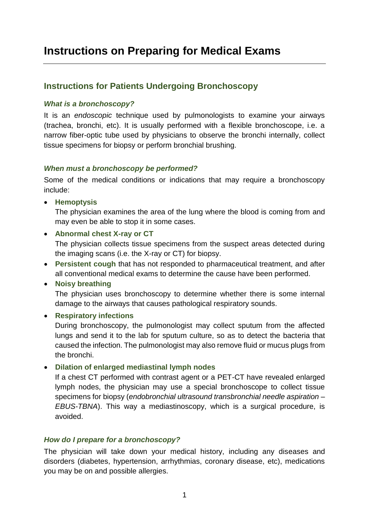# **Instructions on Preparing for Medical Exams**

### **Instructions for Patients Undergoing Bronchoscopy**

#### *What is a bronchoscopy?*

It is an *endoscopic* technique used by pulmonologists to examine your airways (trachea, bronchi, etc). It is usually performed with a flexible bronchoscope, i.e. a narrow fiber-optic tube used by physicians to observe the bronchi internally, collect tissue specimens for biopsy or perform bronchial brushing.

#### *When must a bronchoscopy be performed?*

Some of the medical conditions or indications that may require a bronchoscopy include:

**•** Hemoptysis

The physician examines the area of the lung where the blood is coming from and may even be able to stop it in some cases.

**Abnormal chest X-ray or CT** 

The physician collects tissue specimens from the suspect areas detected during the imaging scans (i.e. the X-ray or CT) for biopsy.

 **Persistent cough** that has not responded to pharmaceutical treatment, and after all conventional medical exams to determine the cause have been performed.

### **Noisy breathing**

The physician uses bronchoscopy to determine whether there is some internal damage to the airways that causes pathological respiratory sounds.

**Respiratory infections** 

During bronchoscopy, the pulmonologist may collect sputum from the affected lungs and send it to the lab for sputum culture, so as to detect the bacteria that caused the infection. The pulmonologist may also remove fluid or mucus plugs from the bronchi.

#### **Dilation of enlarged mediastinal lymph nodes**

If a chest CT performed with contrast agent or a PET-CT have revealed enlarged lymph nodes, the physician may use a special bronchoscope to collect tissue specimens for biopsy (*endobronchial ultrasound transbronchial needle aspiration – EBUS-TBNA*). This way a mediastinoscopy, which is a surgical procedure, is avoided.

### *How do I prepare for a bronchoscopy?*

The physician will take down your medical history, including any diseases and disorders (diabetes, hypertension, arrhythmias, coronary disease, etc), medications you may be on and possible allergies.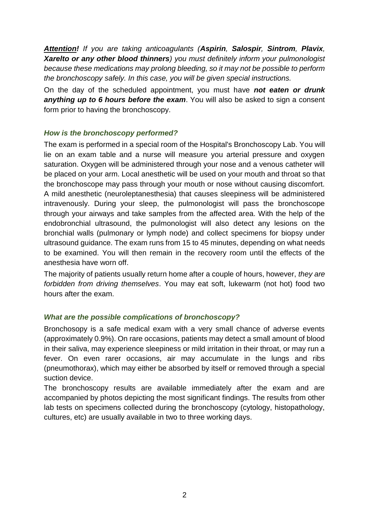*Attention! If you are taking anticoagulants (Aspirin, Salospir, Sintrom, Plavix, Xarelto or any other blood thinners) you must definitely inform your pulmonologist because these medications may prolong bleeding, so it may not be possible to perform the bronchoscopy safely. In this case, you will be given special instructions.*

On the day of the scheduled appointment, you must have *not eaten or drunk anything up to 6 hours before the exam*. You will also be asked to sign a consent form prior to having the bronchoscopy.

### *How is the bronchoscopy performed?*

The exam is performed in a special room of the Hospital's Bronchoscopy Lab. You will lie on an exam table and a nurse will measure you arterial pressure and oxygen saturation. Oxygen will be administered through your nose and a venous catheter will be placed on your arm. Local anesthetic will be used on your mouth and throat so that the bronchoscope may pass through your mouth or nose without causing discomfort. A mild anesthetic (neuroleptanesthesia) that causes sleepiness will be administered intravenously. During your sleep, the pulmonologist will pass the bronchoscope through your airways and take samples from the affected area. With the help of the endobronchial ultrasound, the pulmonologist will also detect any lesions on the bronchial walls (pulmonary or lymph node) and collect specimens for biopsy under ultrasound guidance. The exam runs from 15 to 45 minutes, depending on what needs to be examined. You will then remain in the recovery room until the effects of the anesthesia have worn off.

The majority of patients usually return home after a couple of hours, however, *they are forbidden from driving themselves*. You may eat soft, lukewarm (not hot) food two hours after the exam.

### *What are the possible complications of bronchoscopy?*

Bronchosopy is a safe medical exam with a very small chance of adverse events (approximately 0.9%). On rare occasions, patients may detect a small amount of blood in their saliva, may experience sleepiness or mild irritation in their throat, or may run a fever. On even rarer occasions, air may accumulate in the lungs and ribs (pneumothorax), which may either be absorbed by itself or removed through a special suction device.

The bronchoscopy results are available immediately after the exam and are accompanied by photos depicting the most significant findings. The results from other lab tests on specimens collected during the bronchoscopy (cytology, histopathology, cultures, etc) are usually available in two to three working days.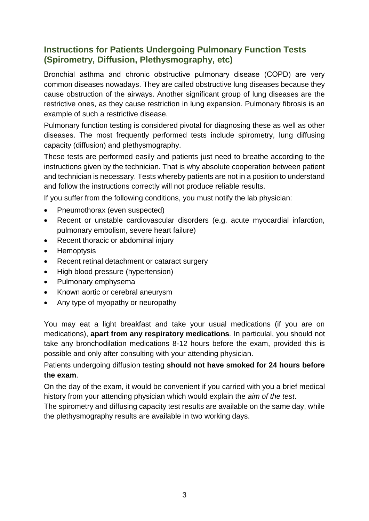## **Instructions for Patients Undergoing Pulmonary Function Tests (Spirometry, Diffusion, Plethysmography, etc)**

Βronchial asthma and chronic obstructive pulmonary disease (COPD) are very common diseases nowadays. They are called obstructive lung diseases because they cause obstruction of the airways. Another significant group of lung diseases are the restrictive ones, as they cause restriction in lung expansion. Pulmonary fibrosis is an example of such a restrictive disease.

Pulmonary function testing is considered pivotal for diagnosing these as well as other diseases. The most frequently performed tests include spirometry, lung diffusing capacity (diffusion) and plethysmography.

These tests are performed easily and patients just need to breathe according to the instructions given by the technician. That is why absolute cooperation between patient and technician is necessary. Tests whereby patients are not in a position to understand and follow the instructions correctly will not produce reliable results.

If you suffer from the following conditions, you must notify the lab physician:

- Pneumothorax (even suspected)
- Recent or unstable cardiovascular disorders (e.g. acute myocardial infarction, pulmonary embolism, severe heart failure)
- Recent thoracic or abdominal injury
- Hemoptysis
- Recent retinal detachment or cataract surgery
- High blood pressure (hypertension)
- Pulmonary emphysema
- Known aortic or cerebral aneurysm
- Any type of myopathy or neuropathy

You may eat a light breakfast and take your usual medications (if you are on medications), **apart from any respiratory medications***.* In particulal, you should not take any bronchodilation medications 8-12 hours before the exam, provided this is possible and only after consulting with your attending physician.

### Patients undergoing diffusion testing **should not have smoked for 24 hours before the exam**.

On the day of the exam, it would be convenient if you carried with you a brief medical history from your attending physician which would explain the *aim of the test*.

The spirometry and diffusing capacity test results are available on the same day, while the plethysmography results are available in two working days.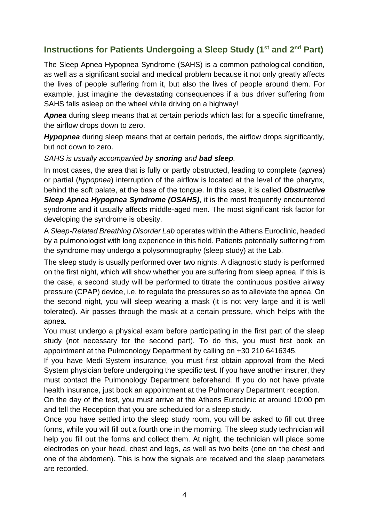# **Instructions for Patients Undergoing a Sleep Study (1st and 2nd Part)**

The Sleep Apnea Hypopnea Syndrome (SAHS) is a common pathological condition, as well as a significant social and medical problem because it not only greatly affects the lives of people suffering from it, but also the lives of people around them. For example, just imagine the devastating consequences if a bus driver suffering from SAHS falls asleep on the wheel while driving on a highway!

*Apnea* during sleep means that at certain periods which last for a specific timeframe, the airflow drops down to zero.

*Hypopnea* during sleep means that at certain periods, the airflow drops significantly, but not down to zero.

*SAHS is usually accompanied by snoring and bad sleep.*

In most cases, the area that is fully or partly obstructed, leading to complete (*apnea*) or partial (*hypopnea*) interruption of the airflow is located at the level of the pharynx, behind the soft palate, at the base of the tongue. In this case, it is called *Obstructive*  **Sleep Apnea Hypopnea Syndrome (OSAHS)**, it is the most frequently encountered syndrome and it usually affects middle-aged men. The most significant risk factor for developing the syndrome is obesity.

A *Sleep-Related Breathing Disorder Lab* operates within the Athens Euroclinic, headed by a pulmonologist with long experience in this field. Patients potentially suffering from the syndrome may undergo a polysomnography (sleep study) at the Lab.

The sleep study is usually performed over two nights. A diagnostic study is performed on the first night, which will show whether you are suffering from sleep apnea. If this is the case, a second study will be performed to titrate the continuous positive airway pressure (CPAP) device, i.e. to regulate the pressures so as to alleviate the apnea. On the second night, you will sleep wearing a mask (it is not very large and it is well tolerated). Air passes through the mask at a certain pressure, which helps with the apnea.

You must undergo a physical exam before participating in the first part of the sleep study (not necessary for the second part). To do this, you must first book an appointment at the Pulmonology Department by calling on +30 210 6416345.

If you have Medi System insurance, you must first obtain approval from the Medi System physician before undergoing the specific test. If you have another insurer, they must contact the Pulmonology Department beforehand. If you do not have private health insurance, just book an appointment at the Pulmonary Department reception.

On the day of the test, you must arrive at the Athens Euroclinic at around 10:00 pm and tell the Reception that you are scheduled for a sleep study.

Once you have settled into the sleep study room, you will be asked to fill out three forms, while you will fill out a fourth one in the morning. The sleep study technician will help you fill out the forms and collect them. At night, the technician will place some electrodes on your head, chest and legs, as well as two belts (one on the chest and one of the abdomen). This is how the signals are received and the sleep parameters are recorded.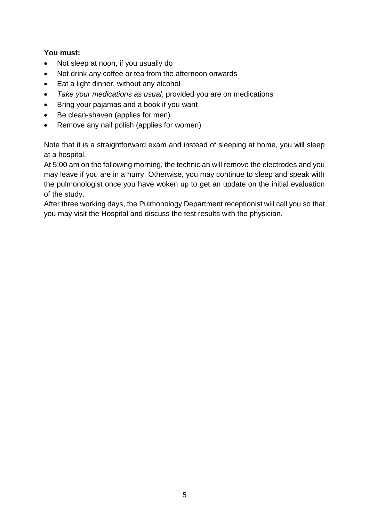### **You must:**

- Not sleep at noon, if you usually do
- Not drink any coffee or tea from the afternoon onwards
- Eat a light dinner, without any alcohol
- *Take your medications as usual*, provided you are on medications
- Bring your pajamas and a book if you want
- Be clean-shaven (applies for men)
- Remove any nail polish (applies for women)

Note that it is a straightforward exam and instead of sleeping at home, you will sleep at a hospital.

At 5:00 am on the following morning, the technician will remove the electrodes and you may leave if you are in a hurry. Otherwise, you may continue to sleep and speak with the pulmonologist once you have woken up to get an update on the initial evaluation of the study.

After three working days, the Pulmonology Department receptionist will call you so that you may visit the Hospital and discuss the test results with the physician.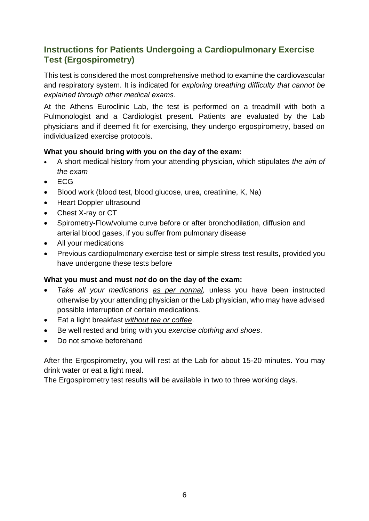# **Instructions for Patients Undergoing a Cardiopulmonary Exercise Test (Ergospirometry)**

This test is considered the most comprehensive method to examine the cardiovascular and respiratory system. It is indicated for *exploring breathing difficulty that cannot be explained through other medical exams*.

At the Athens Euroclinic Lab, the test is performed on a treadmill with both a Pulmonologist and a Cardiologist present. Patients are evaluated by the Lab physicians and if deemed fit for exercising, they undergo ergospirometry, based on individualized exercise protocols.

### **What you should bring with you on the day of the exam:**

- A short medical history from your attending physician, which stipulates *the aim of the exam*
- ECG
- Blood work (blood test, blood glucose, urea, creatinine, K, Na)
- Heart Doppler ultrasound
- Chest X-ray or CT
- Spirometry-Flow/volume curve before or after bronchodilation, diffusion and arterial blood gases, if you suffer from pulmonary disease
- All your medications
- Previous cardiopulmonary exercise test or simple stress test results, provided you have undergone these tests before

### **What you must and must** *not* **do on the day of the exam:**

- *Take all your medications as per normal,* unless you have been instructed otherwise by your attending physician or the Lab physician, who may have advised possible interruption of certain medications.
- Eat a light breakfast *without tea or coffee*.
- Be well rested and bring with you *exercise clothing and shoes*.
- Do not smoke beforehand

After the Ergospirometry, you will rest at the Lab for about 15-20 minutes. You may drink water or eat a light meal.

The Ergospirometry test results will be available in two to three working days.